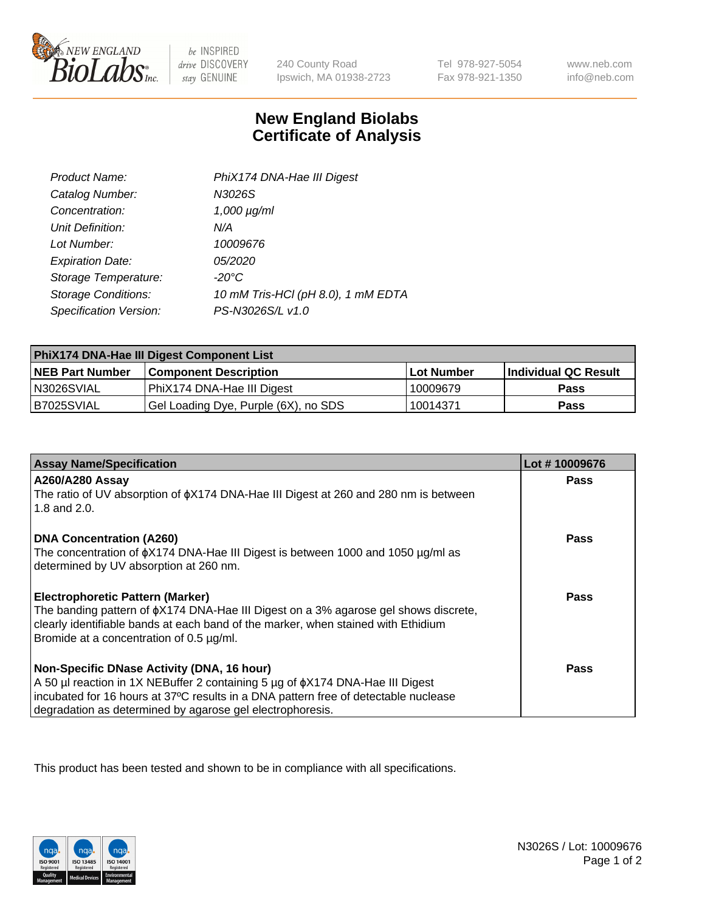

 $be$  INSPIRED drive DISCOVERY stay GENUINE

240 County Road Ipswich, MA 01938-2723

Tel 978-927-5054 Fax 978-921-1350

www.neb.com info@neb.com

## **New England Biolabs Certificate of Analysis**

| Product Name:              | PhiX174 DNA-Hae III Digest         |
|----------------------------|------------------------------------|
| Catalog Number:            | N3026S                             |
| Concentration:             | $1,000 \mu g/ml$                   |
| Unit Definition:           | N/A                                |
| Lot Number:                | 10009676                           |
| <b>Expiration Date:</b>    | <i>05/2020</i>                     |
| Storage Temperature:       | $-20^{\circ}$ C                    |
| <b>Storage Conditions:</b> | 10 mM Tris-HCl (pH 8.0), 1 mM EDTA |
| Specification Version:     | PS-N3026S/L v1.0                   |

| PhiX174 DNA-Hae III Digest Component List |                                      |            |                      |  |
|-------------------------------------------|--------------------------------------|------------|----------------------|--|
| <b>NEB Part Number</b>                    | <b>Component Description</b>         | Lot Number | Individual QC Result |  |
| N3026SVIAL                                | PhiX174 DNA-Hae III Digest           | 10009679   | <b>Pass</b>          |  |
| B7025SVIAL                                | Gel Loading Dye, Purple (6X), no SDS | 10014371   | <b>Pass</b>          |  |

| <b>Assay Name/Specification</b>                                                                                               | Lot #10009676 |
|-------------------------------------------------------------------------------------------------------------------------------|---------------|
| <b>A260/A280 Assay</b>                                                                                                        | <b>Pass</b>   |
| The ratio of UV absorption of $\phi$ X174 DNA-Hae III Digest at 260 and 280 nm is between<br>1.8 and 2.0.                     |               |
| <b>DNA Concentration (A260)</b>                                                                                               | Pass          |
| The concentration of $\phi$ X174 DNA-Hae III Digest is between 1000 and 1050 µg/ml as                                         |               |
| determined by UV absorption at 260 nm.                                                                                        |               |
| <b>Electrophoretic Pattern (Marker)</b>                                                                                       | Pass          |
| The banding pattern of $\phi$ X174 DNA-Hae III Digest on a 3% agarose gel shows discrete,                                     |               |
| clearly identifiable bands at each band of the marker, when stained with Ethidium<br>Bromide at a concentration of 0.5 µg/ml. |               |
|                                                                                                                               |               |
| Non-Specific DNase Activity (DNA, 16 hour)                                                                                    | Pass          |
| A 50 µl reaction in 1X NEBuffer 2 containing 5 µg of $\phi$ X174 DNA-Hae III Digest                                           |               |
| incubated for 16 hours at 37°C results in a DNA pattern free of detectable nuclease                                           |               |
| degradation as determined by agarose gel electrophoresis.                                                                     |               |

This product has been tested and shown to be in compliance with all specifications.